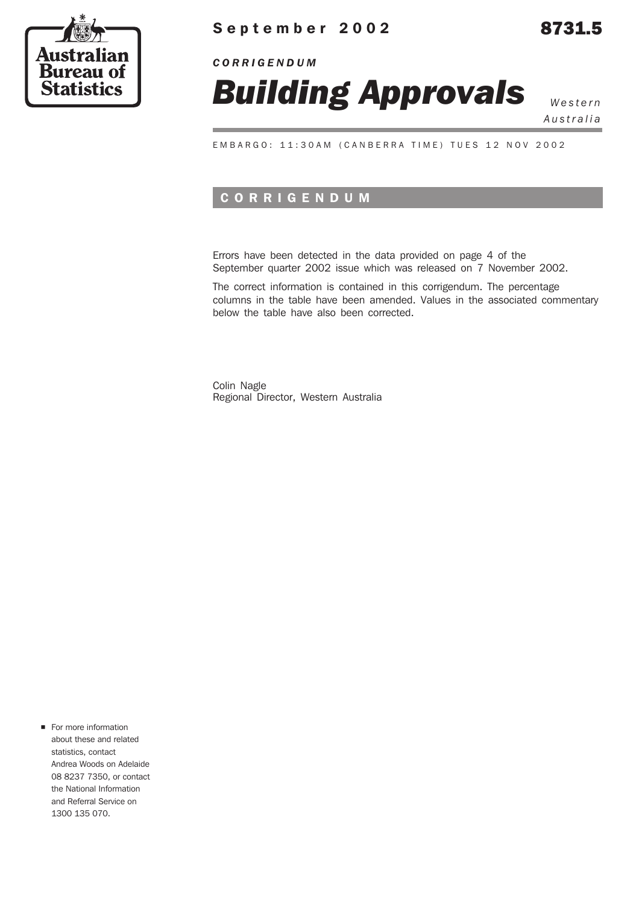

## **September 2002** 8731.5

*CORRIGENDUM*



*Australia*

EMBARGO: 11:30AM (CANBERRA TIME) TUES 12 NOV 2002

### **CORRIGENDUM**

Errors have been detected in the data provided on page 4 of the September quarter 2002 issue which was released on 7 November 2002.

The correct information is contained in this corrigendum. The percentage columns in the table have been amended. Values in the associated commentary below the table have also been corrected.

Colin Nagle Regional Director, Western Australia

For more information about these and related statistics, contact Andrea Woods on Adelaide 08 8237 7350, or contact the National Information and Referral Service on 1300 135 070.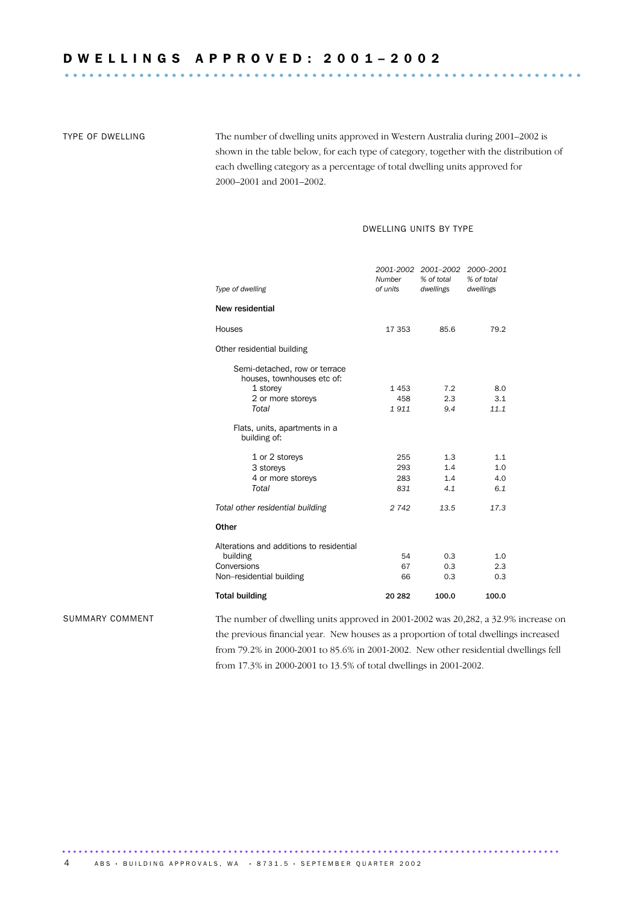TYPE OF DWELLING The number of dwelling units approved in Western Australia during 2001–2002 is shown in the table below, for each type of category, together with the distribution of each dwelling category as a percentage of total dwelling units approved for 2000–2001 and 2001–2002.

### DWELLING UNITS BY TYPE

| Type of dwelling                                            | <b>Number</b><br>of units | 2001-2002 2001–2002<br>% of total<br>dwellings | 2000-2001<br>% of total<br>dwellings |
|-------------------------------------------------------------|---------------------------|------------------------------------------------|--------------------------------------|
| New residential                                             |                           |                                                |                                      |
| Houses                                                      | 17 353                    | 85.6                                           | 79.2                                 |
| Other residential building                                  |                           |                                                |                                      |
| Semi-detached, row or terrace<br>houses, townhouses etc of: |                           |                                                |                                      |
| 1 storey                                                    | 1453                      | 7.2                                            | 8.0                                  |
| 2 or more storeys                                           | 458                       | 2.3                                            | 3.1                                  |
| Total                                                       | 1911                      | 9.4                                            | 11.1                                 |
| Flats, units, apartments in a<br>building of:               |                           |                                                |                                      |
| 1 or 2 storeys                                              | 255                       | 1.3                                            | 1.1                                  |
| 3 storeys                                                   | 293                       | 1.4                                            | 1.0                                  |
| 4 or more storeys                                           | 283                       | 1.4                                            | 4.0                                  |
| Total                                                       | 831                       | 4.1                                            | 6.1                                  |
| Total other residential building                            | 2742                      | 13.5                                           | 17.3                                 |
| Other                                                       |                           |                                                |                                      |
| Alterations and additions to residential                    |                           |                                                |                                      |
| building                                                    | 54                        | 0.3                                            | 1.0                                  |
| Conversions                                                 | 67                        | 0.3                                            | 2.3                                  |
| Non-residential building                                    | 66                        | 0.3                                            | 0.3                                  |
| <b>Total building</b>                                       | 20 282                    | 100.0                                          | 100.0                                |

SUMMARY COMMENT The number of dwelling units approved in 2001-2002 was 20,282, a 32.9% increase on the previous financial year. New houses as a proportion of total dwellings increased from 79.2% in 2000-2001 to 85.6% in 2001-2002. New other residential dwellings fell from 17.3% in 2000-2001 to 13.5% of total dwellings in 2001-2002.